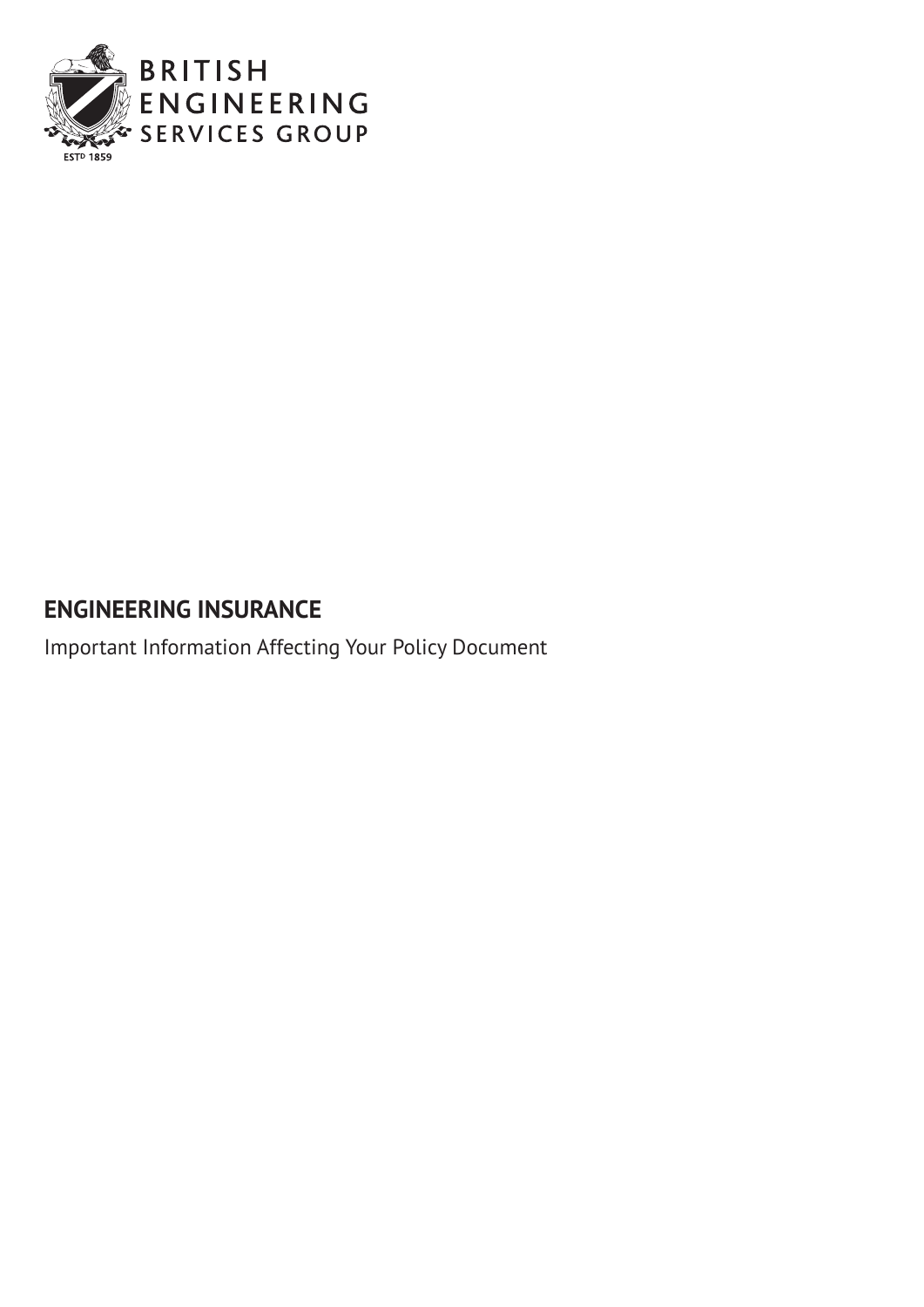

# **ENGINEERING INSURANCE**

Important Information Affecting Your Policy Document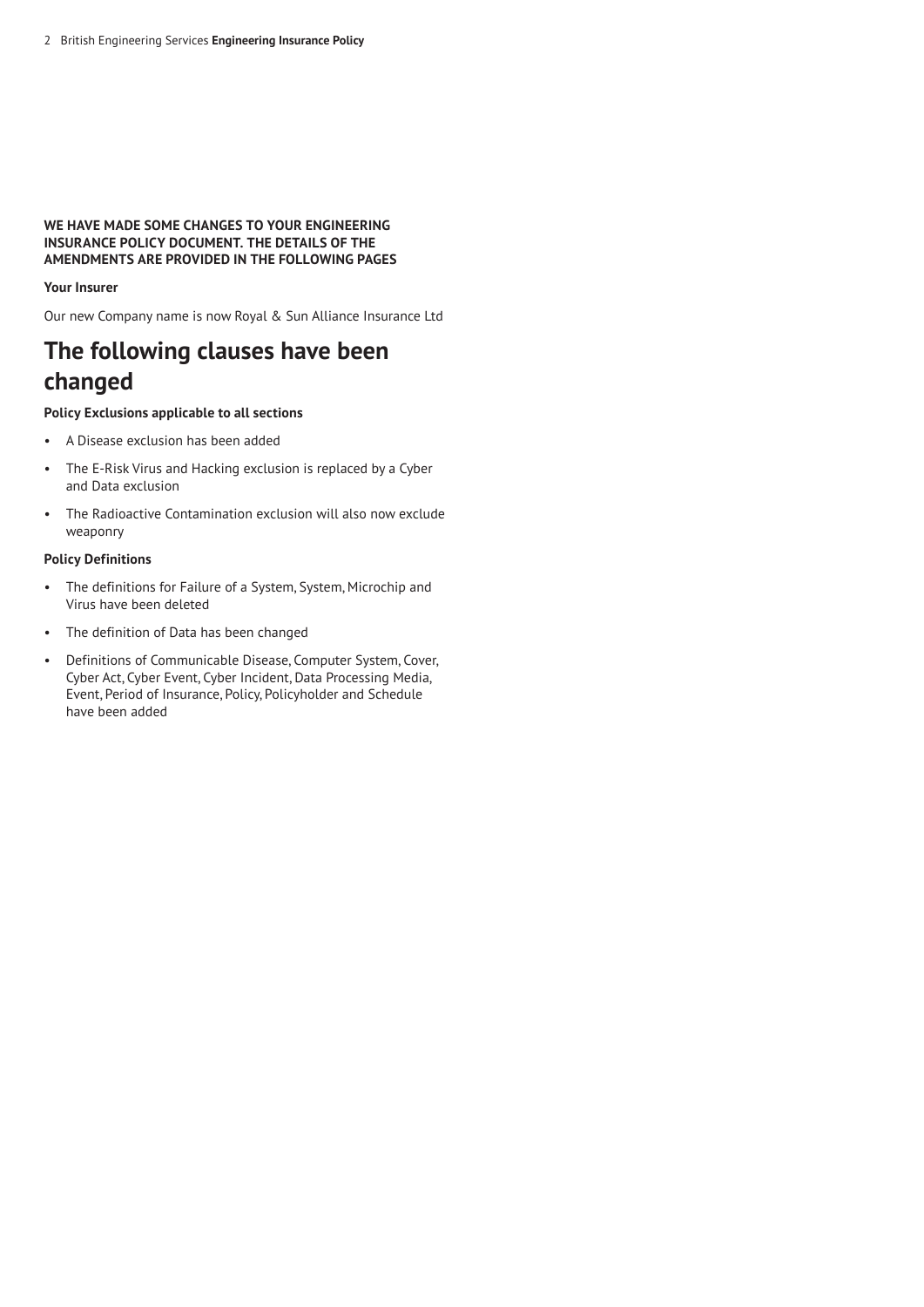# **WE HAVE MADE SOME CHANGES TO YOUR ENGINEERING INSURANCE POLICY DOCUMENT. THE DETAILS OF THE AMENDMENTS ARE PROVIDED IN THE FOLLOWING PAGES**

# **Your Insurer**

Our new Company name is now Royal & Sun Alliance Insurance Ltd

# **The following clauses have been changed**

# **Policy Exclusions applicable to all sections**

- A Disease exclusion has been added
- The E-Risk Virus and Hacking exclusion is replaced by a Cyber and Data exclusion
- The Radioactive Contamination exclusion will also now exclude weaponry

# **Policy Definitions**

- The definitions for Failure of a System, System, Microchip and Virus have been deleted
- The definition of Data has been changed
- Definitions of Communicable Disease, Computer System, Cover, Cyber Act, Cyber Event, Cyber Incident, Data Processing Media, Event, Period of Insurance, Policy, Policyholder and Schedule have been added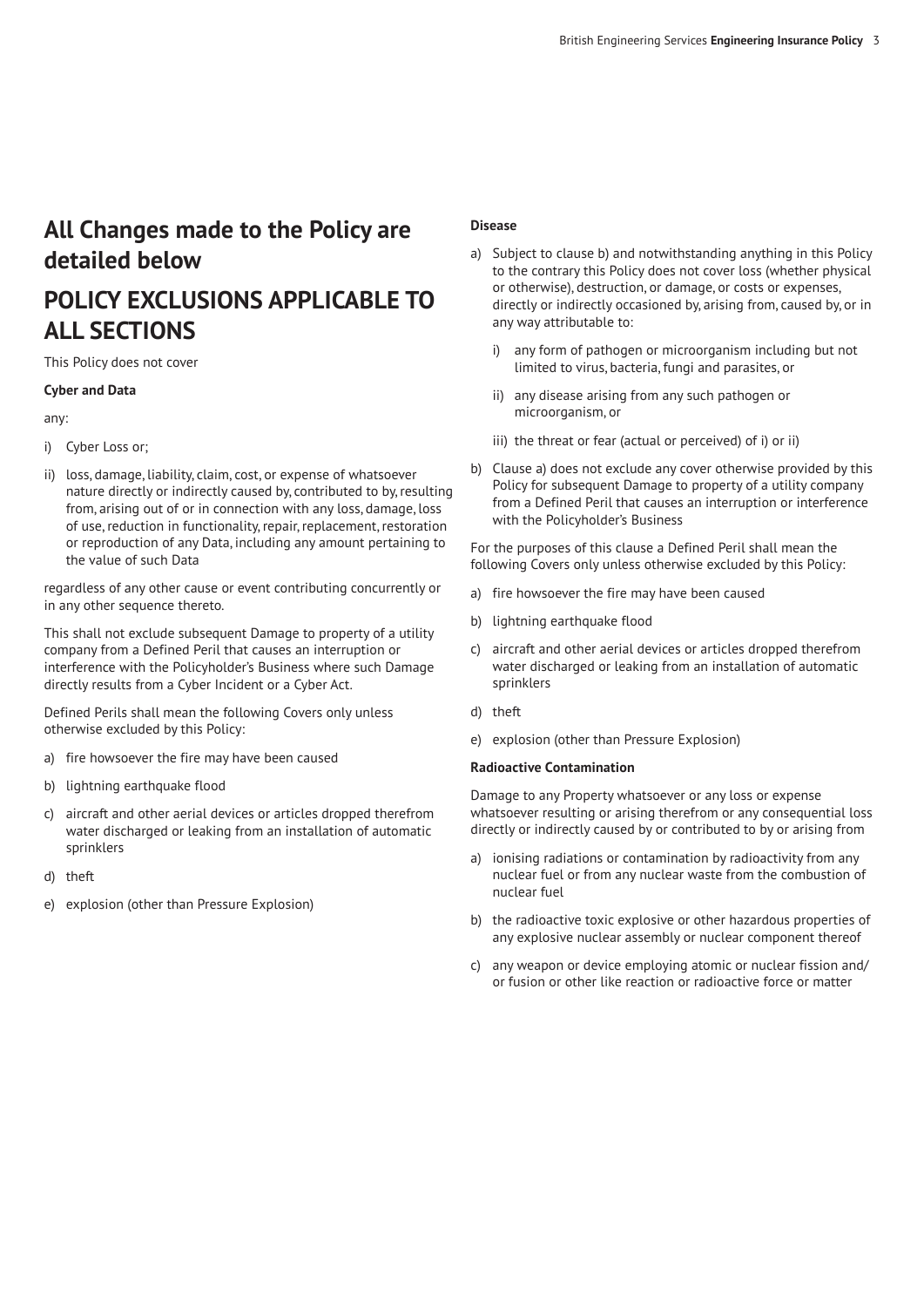# **All Changes made to the Policy are detailed below**

# **POLICY EXCLUSIONS APPLICABLE TO ALL SECTIONS**

This Policy does not cover

## **Cyber and Data**

any:

- i) Cyber Loss or;
- ii) loss, damage, liability, claim, cost, or expense of whatsoever nature directly or indirectly caused by, contributed to by, resulting from, arising out of or in connection with any loss, damage, loss of use, reduction in functionality, repair, replacement, restoration or reproduction of any Data, including any amount pertaining to the value of such Data

regardless of any other cause or event contributing concurrently or in any other sequence thereto.

This shall not exclude subsequent Damage to property of a utility company from a Defined Peril that causes an interruption or interference with the Policyholder's Business where such Damage directly results from a Cyber Incident or a Cyber Act.

Defined Perils shall mean the following Covers only unless otherwise excluded by this Policy:

- a) fire howsoever the fire may have been caused
- b) lightning earthquake flood
- c) aircraft and other aerial devices or articles dropped therefrom water discharged or leaking from an installation of automatic sprinklers
- d) theft
- e) explosion (other than Pressure Explosion)

#### **Disease**

- a) Subject to clause b) and notwithstanding anything in this Policy to the contrary this Policy does not cover loss (whether physical or otherwise), destruction, or damage, or costs or expenses, directly or indirectly occasioned by, arising from, caused by, or in any way attributable to:
	- i) any form of pathogen or microorganism including but not limited to virus, bacteria, fungi and parasites, or
	- ii) any disease arising from any such pathogen or microorganism, or
	- iii) the threat or fear (actual or perceived) of i) or ii)
- b) Clause a) does not exclude any cover otherwise provided by this Policy for subsequent Damage to property of a utility company from a Defined Peril that causes an interruption or interference with the Policyholder's Business

For the purposes of this clause a Defined Peril shall mean the following Covers only unless otherwise excluded by this Policy:

- a) fire howsoever the fire may have been caused
- b) lightning earthquake flood
- c) aircraft and other aerial devices or articles dropped therefrom water discharged or leaking from an installation of automatic sprinklers
- d) theft
- e) explosion (other than Pressure Explosion)

## **Radioactive Contamination**

Damage to any Property whatsoever or any loss or expense whatsoever resulting or arising therefrom or any consequential loss directly or indirectly caused by or contributed to by or arising from

- a) ionising radiations or contamination by radioactivity from any nuclear fuel or from any nuclear waste from the combustion of nuclear fuel
- b) the radioactive toxic explosive or other hazardous properties of any explosive nuclear assembly or nuclear component thereof
- c) any weapon or device employing atomic or nuclear fission and/ or fusion or other like reaction or radioactive force or matter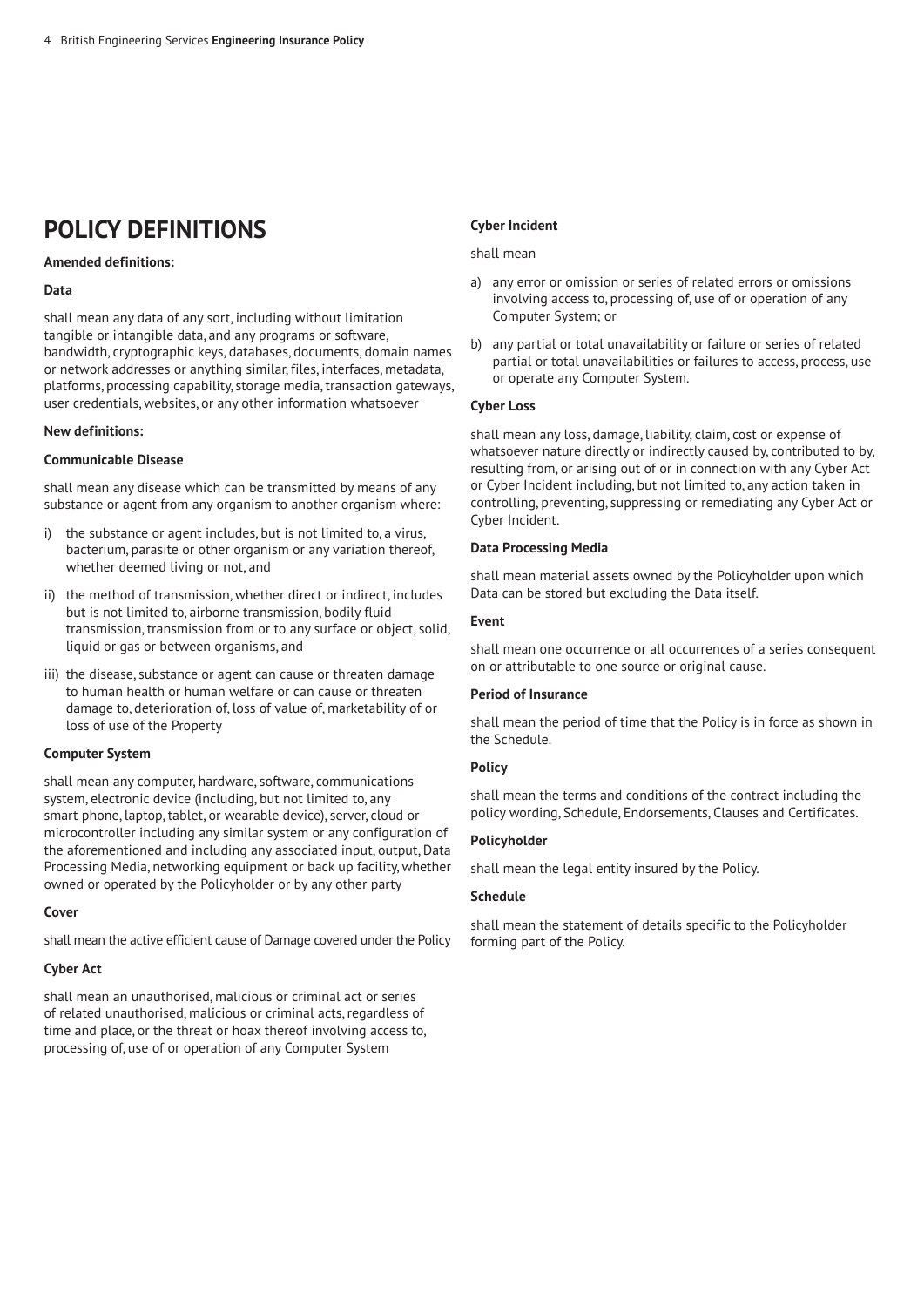# **POLICY DEFINITIONS**

# **Amended definitions:**

## **Data**

shall mean any data of any sort, including without limitation tangible or intangible data, and any programs or software, bandwidth, cryptographic keys, databases, documents, domain names or network addresses or anything similar, files, interfaces, metadata, platforms, processing capability, storage media, transaction gateways, user credentials, websites, or any other information whatsoever

## **New definitions:**

#### **Communicable Disease**

shall mean any disease which can be transmitted by means of any substance or agent from any organism to another organism where:

- i) the substance or agent includes, but is not limited to, a virus, bacterium, parasite or other organism or any variation thereof, whether deemed living or not, and
- ii) the method of transmission, whether direct or indirect, includes but is not limited to, airborne transmission, bodily fluid transmission, transmission from or to any surface or object, solid, liquid or gas or between organisms, and
- iii) the disease, substance or agent can cause or threaten damage to human health or human welfare or can cause or threaten damage to, deterioration of, loss of value of, marketability of or loss of use of the Property

## **Computer System**

shall mean any computer, hardware, software, communications system, electronic device (including, but not limited to, any smart phone, laptop, tablet, or wearable device), server, cloud or microcontroller including any similar system or any configuration of the aforementioned and including any associated input, output, Data Processing Media, networking equipment or back up facility, whether owned or operated by the Policyholder or by any other party

#### **Cover**

shall mean the active efficient cause of Damage covered under the Policy

## **Cyber Act**

shall mean an unauthorised, malicious or criminal act or series of related unauthorised, malicious or criminal acts, regardless of time and place, or the threat or hoax thereof involving access to, processing of, use of or operation of any Computer System

## **Cyber Incident**

#### shall mean

- a) any error or omission or series of related errors or omissions involving access to, processing of, use of or operation of any Computer System; or
- b) any partial or total unavailability or failure or series of related partial or total unavailabilities or failures to access, process, use or operate any Computer System.

## **Cyber Loss**

shall mean any loss, damage, liability, claim, cost or expense of whatsoever nature directly or indirectly caused by, contributed to by, resulting from, or arising out of or in connection with any Cyber Act or Cyber Incident including, but not limited to, any action taken in controlling, preventing, suppressing or remediating any Cyber Act or Cyber Incident.

#### **Data Processing Media**

shall mean material assets owned by the Policyholder upon which Data can be stored but excluding the Data itself.

#### **Event**

shall mean one occurrence or all occurrences of a series consequent on or attributable to one source or original cause.

## **Period of Insurance**

shall mean the period of time that the Policy is in force as shown in the Schedule.

## **Policy**

shall mean the terms and conditions of the contract including the policy wording, Schedule, Endorsements, Clauses and Certificates.

## **Policyholder**

shall mean the legal entity insured by the Policy.

# **Schedule**

shall mean the statement of details specific to the Policyholder forming part of the Policy.